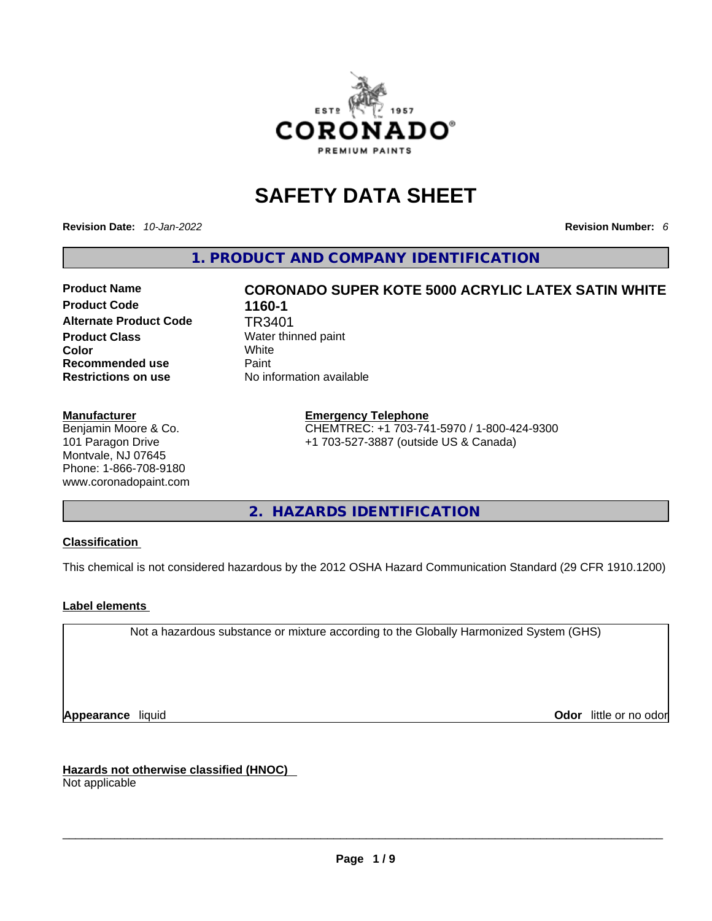

# **SAFETY DATA SHEET**

**Revision Date:** *10-Jan-2022* **Revision Number:** *6*

**1. PRODUCT AND COMPANY IDENTIFICATION** 

# **Product Code 1160-1 Alternate Product Code** TR3401 **Product Class Water thinned paint Color** White **Recommended use** Paint<br> **Restrictions on use** No in

#### **Manufacturer**

Benjamin Moore & Co. 101 Paragon Drive Montvale, NJ 07645 Phone: 1-866-708-9180 www.coronadopaint.com

# **Product Name CORONADO SUPER KOTE 5000 ACRYLIC LATEX SATIN WHITE No information available**

## **Emergency Telephone**

CHEMTREC: +1 703-741-5970 / 1-800-424-9300 +1 703-527-3887 (outside US & Canada)

**2. HAZARDS IDENTIFICATION** 

#### **Classification**

This chemical is not considered hazardous by the 2012 OSHA Hazard Communication Standard (29 CFR 1910.1200)

#### **Label elements**

Not a hazardous substance or mixture according to the Globally Harmonized System (GHS)

**Appearance** liquid **Odor 11** and **Odor 11** and **Odor 11** and **Odor 11** and **Odor 11** and **Odor** 11 and **Odor** 11 and **Odor** 11 and **Odor** 11 and **Odor** 11 and **Odor** 11 and **Odor** 11 and **Odor** 11 and **Odor** 11 and **Odor** 

**Hazards not otherwise classified (HNOC)**  Not applicable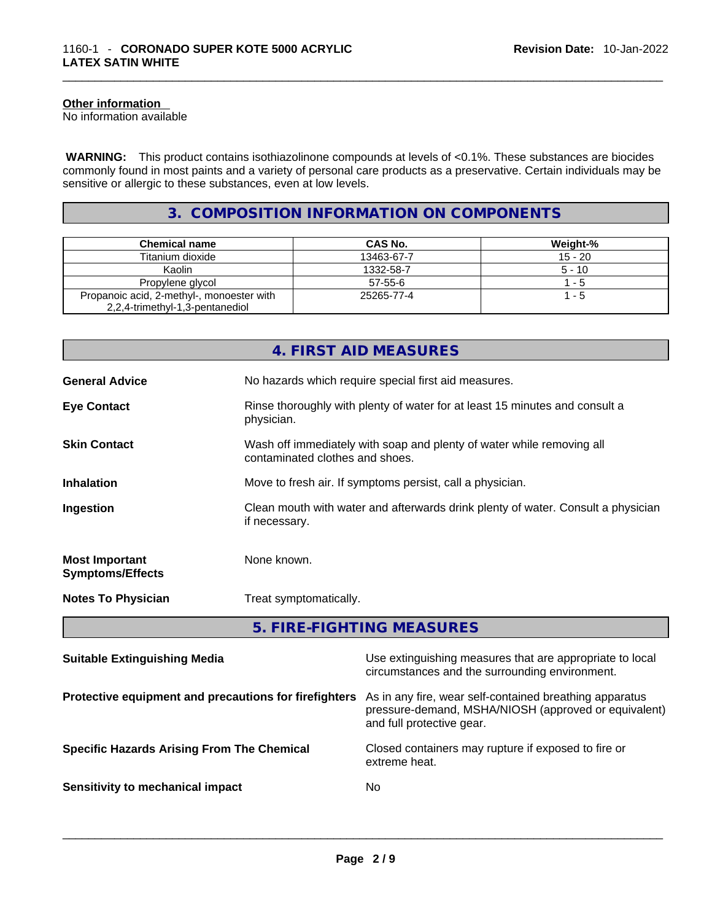#### **Other information**

No information available

 **WARNING:** This product contains isothiazolinone compounds at levels of <0.1%. These substances are biocides commonly found in most paints and a variety of personal care products as a preservative. Certain individuals may be sensitive or allergic to these substances, even at low levels.

# **3. COMPOSITION INFORMATION ON COMPONENTS**

| <b>Chemical name</b>                                                         | CAS No.    | Weight-%  |
|------------------------------------------------------------------------------|------------|-----------|
| Titanium dioxide                                                             | 13463-67-7 | $15 - 20$ |
| Kaolin                                                                       | 1332-58-7  | $5 - 10$  |
| Propylene glycol                                                             | $57-55-6$  | 1 - 5     |
| Propanoic acid, 2-methyl-, monoester with<br>2,2,4-trimethyl-1,3-pentanediol | 25265-77-4 | $1 - 5$   |

|                                                  | 4. FIRST AID MEASURES                                                                                    |
|--------------------------------------------------|----------------------------------------------------------------------------------------------------------|
| <b>General Advice</b>                            | No hazards which require special first aid measures.                                                     |
| <b>Eye Contact</b>                               | Rinse thoroughly with plenty of water for at least 15 minutes and consult a<br>physician.                |
| <b>Skin Contact</b>                              | Wash off immediately with soap and plenty of water while removing all<br>contaminated clothes and shoes. |
| <b>Inhalation</b>                                | Move to fresh air. If symptoms persist, call a physician.                                                |
| Ingestion                                        | Clean mouth with water and afterwards drink plenty of water. Consult a physician<br>if necessary.        |
| <b>Most Important</b><br><b>Symptoms/Effects</b> | None known.                                                                                              |
| <b>Notes To Physician</b>                        | Treat symptomatically.                                                                                   |
|                                                  | 5. FIRE-FIGHTING MEASURES                                                                                |

| <b>Suitable Extinguishing Media</b>                   | Use extinguishing measures that are appropriate to local<br>circumstances and the surrounding environment.                                   |
|-------------------------------------------------------|----------------------------------------------------------------------------------------------------------------------------------------------|
| Protective equipment and precautions for firefighters | As in any fire, wear self-contained breathing apparatus<br>pressure-demand, MSHA/NIOSH (approved or equivalent)<br>and full protective gear. |
| <b>Specific Hazards Arising From The Chemical</b>     | Closed containers may rupture if exposed to fire or<br>extreme heat.                                                                         |
| Sensitivity to mechanical impact                      | No.                                                                                                                                          |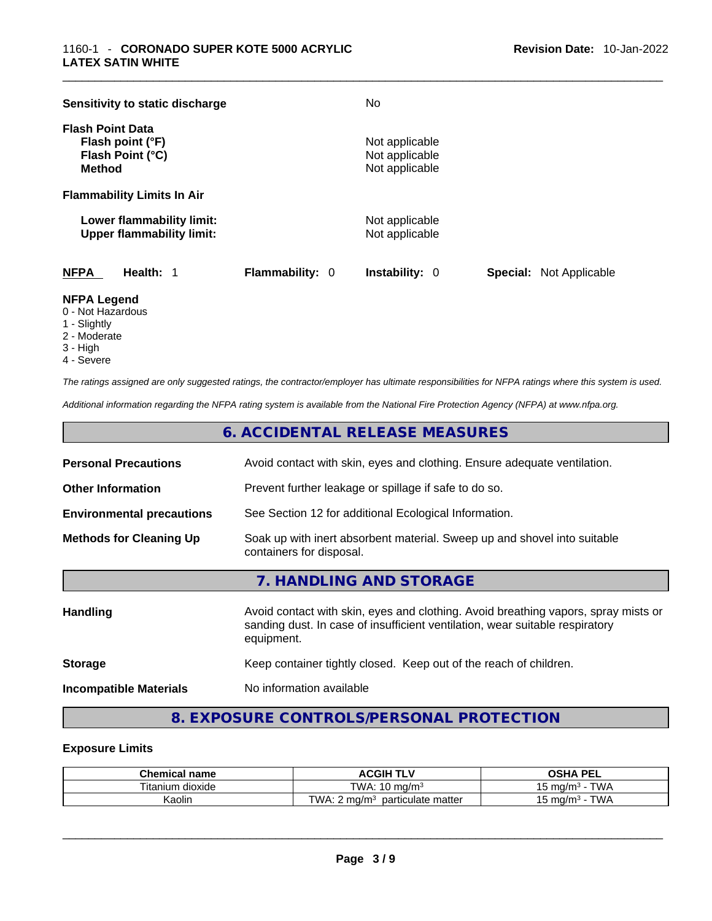| Sensitivity to static discharge                                                  |                        | No.                                                |                                |
|----------------------------------------------------------------------------------|------------------------|----------------------------------------------------|--------------------------------|
| <b>Flash Point Data</b><br>Flash point (°F)<br>Flash Point (°C)<br><b>Method</b> |                        | Not applicable<br>Not applicable<br>Not applicable |                                |
| <b>Flammability Limits In Air</b>                                                |                        |                                                    |                                |
| Lower flammability limit:<br><b>Upper flammability limit:</b>                    |                        | Not applicable<br>Not applicable                   |                                |
| <b>NFPA</b><br>Health: 1                                                         | <b>Flammability: 0</b> | <b>Instability: 0</b>                              | <b>Special:</b> Not Applicable |

#### **NFPA Legend**

- 0 Not Hazardous
- 1 Slightly
- 2 Moderate
- 3 High
- 4 Severe

*The ratings assigned are only suggested ratings, the contractor/employer has ultimate responsibilities for NFPA ratings where this system is used.* 

*Additional information regarding the NFPA rating system is available from the National Fire Protection Agency (NFPA) at www.nfpa.org.* 

# **6. ACCIDENTAL RELEASE MEASURES**

| <b>Personal Precautions</b>      | Avoid contact with skin, eyes and clothing. Ensure adequate ventilation.                                                                                                         |  |
|----------------------------------|----------------------------------------------------------------------------------------------------------------------------------------------------------------------------------|--|
| <b>Other Information</b>         | Prevent further leakage or spillage if safe to do so.                                                                                                                            |  |
| <b>Environmental precautions</b> | See Section 12 for additional Ecological Information.                                                                                                                            |  |
| <b>Methods for Cleaning Up</b>   | Soak up with inert absorbent material. Sweep up and shovel into suitable<br>containers for disposal.                                                                             |  |
|                                  | 7. HANDLING AND STORAGE                                                                                                                                                          |  |
| <b>Handling</b>                  | Avoid contact with skin, eyes and clothing. Avoid breathing vapors, spray mists or<br>sanding dust. In case of insufficient ventilation, wear suitable respiratory<br>equipment. |  |
| <b>Storage</b>                   | Keep container tightly closed. Keep out of the reach of children.                                                                                                                |  |
|                                  |                                                                                                                                                                                  |  |

**Incompatible Materials** No information available

# **8. EXPOSURE CONTROLS/PERSONAL PROTECTION**

#### **Exposure Limits**

| <b>Chemical name</b> | <b>ACGIH T</b><br>.<br>. .               | <b>DEI</b><br>OSH/<br>--                                |
|----------------------|------------------------------------------|---------------------------------------------------------|
| dioxide<br>l itanium | TWA:<br>$10 \text{ ma/m}$                | TM/A<br>∘ma/m ،<br>՝<br><b>v</b> v /                    |
| Kaolir               | T M<br>particulate matter<br>ΙΛ.<br>ma/m | TM/A<br>. ma/m <sup>3</sup><br>.<br><b>v</b> v <i>l</i> |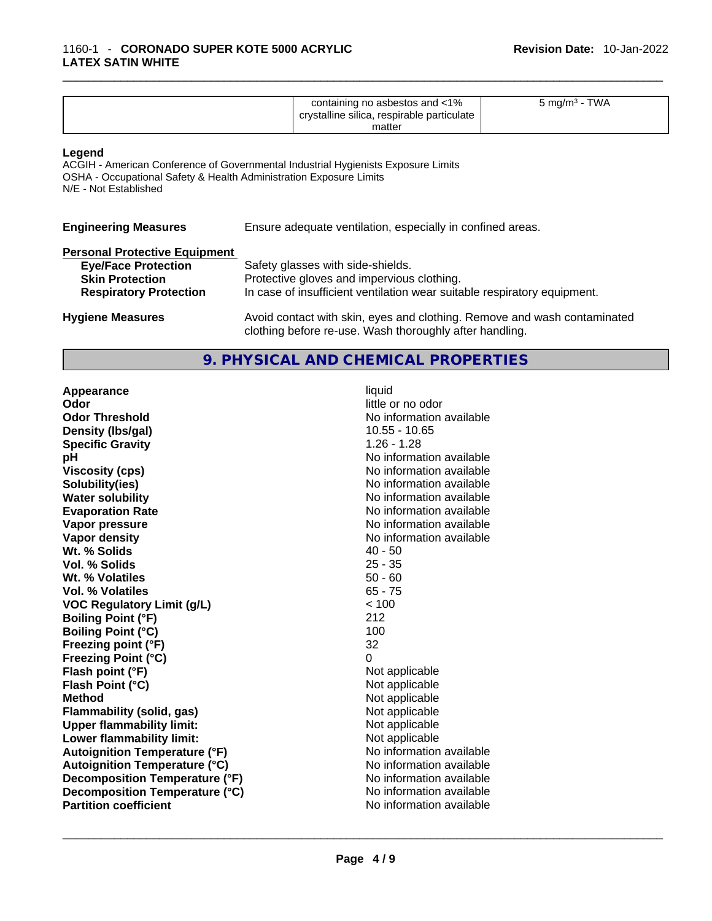| containing no asbestos and <1%<br>crystalline silica, respirable particulate<br>matter | TWA<br>5 mg/m <sup>3</sup> - |
|----------------------------------------------------------------------------------------|------------------------------|
|----------------------------------------------------------------------------------------|------------------------------|

#### **Legend**

ACGIH - American Conference of Governmental Industrial Hygienists Exposure Limits OSHA - Occupational Safety & Health Administration Exposure Limits N/E - Not Established

| <b>Engineering Measures</b>          | Ensure adequate ventilation, especially in confined areas.               |  |
|--------------------------------------|--------------------------------------------------------------------------|--|
| <b>Personal Protective Equipment</b> |                                                                          |  |
| <b>Eye/Face Protection</b>           | Safety glasses with side-shields.                                        |  |
| <b>Skin Protection</b>               | Protective gloves and impervious clothing.                               |  |
| <b>Respiratory Protection</b>        | In case of insufficient ventilation wear suitable respiratory equipment. |  |
| <b>Hygiene Measures</b>              | Avoid contact with skin, eyes and clothing. Remove and wash contaminated |  |

## **9. PHYSICAL AND CHEMICAL PROPERTIES**

clothing before re-use. Wash thoroughly after handling.

**Appearance** liquid **and a limitation of the contract of the contract of the contract of the contract of the contract of the contract of the contract of the contract of the contract of the contract of the contract of the c Odor Threshold No information available No information available Density** (Ibs/gal) **10.55 - 10.65 Specific Gravity** 1.26 - 1.28 **pH bH** *pH* **Viscosity (cps) Viscosity (cps) No information available Solubility(ies)** No information available in the solution of the solution of the solution available in the solution of the solution of the solution of the solution of the solution of the solution of the solution of the so **Water solubility No information available No information available Evaporation Rate No information available No information available Vapor pressure**  No information available **Vapor pressure No information available Vapor density**<br> **We Solids**<br>
We Solids
2014<br>
2014<br>
2015<br>
2016<br>
2015<br>
2016 **Wt. % Solids** 40 - 50 **Vol. % Solids Wt. % Volatiles** 50 - 60 **Vol. % Volatiles** 65 - 75 **VOC Regulatory Limit (g/L)** < 100 **Boiling Point (°F)** 212 **Boiling Point (°C)** 100 **Freezing point (°F)** 32 **Freezing Point (°C)**<br> **Flash point (°F)**<br> **Flash point (°F)**<br> **Point (°F)**<br> **Point (°F)**<br> **Point (°F)**<br> **Point (°F) Flash point (°F) Flash Point (°C)** Not applicable **Method Not applicable**<br> **Plammability (solid, gas)** Not applicable **Not applicable Flammability** (solid, gas) **Upper flammability limit:**<br> **Lower flammability limit:** Not applicable Not applicable **Lower flammability limit: Autoignition Temperature (°F)** No information available **Autoignition Temperature (°C)** No information available **Decomposition Temperature (°F)** No information available **Decomposition Temperature (°C)**<br> **Partition coefficient**<br> **Partition coefficient**<br> **No** information available **Partition coefficient**No information available \_\_\_\_\_\_\_\_\_\_\_\_\_\_\_\_\_\_\_\_\_\_\_\_\_\_\_\_\_\_\_\_\_\_\_\_\_\_\_\_\_\_\_\_\_\_\_\_\_\_\_\_\_\_\_\_\_\_\_\_\_\_\_\_\_\_\_\_\_\_\_\_\_\_\_\_\_\_\_\_\_\_\_\_\_\_\_\_\_\_\_\_\_

**Odor** little or no odor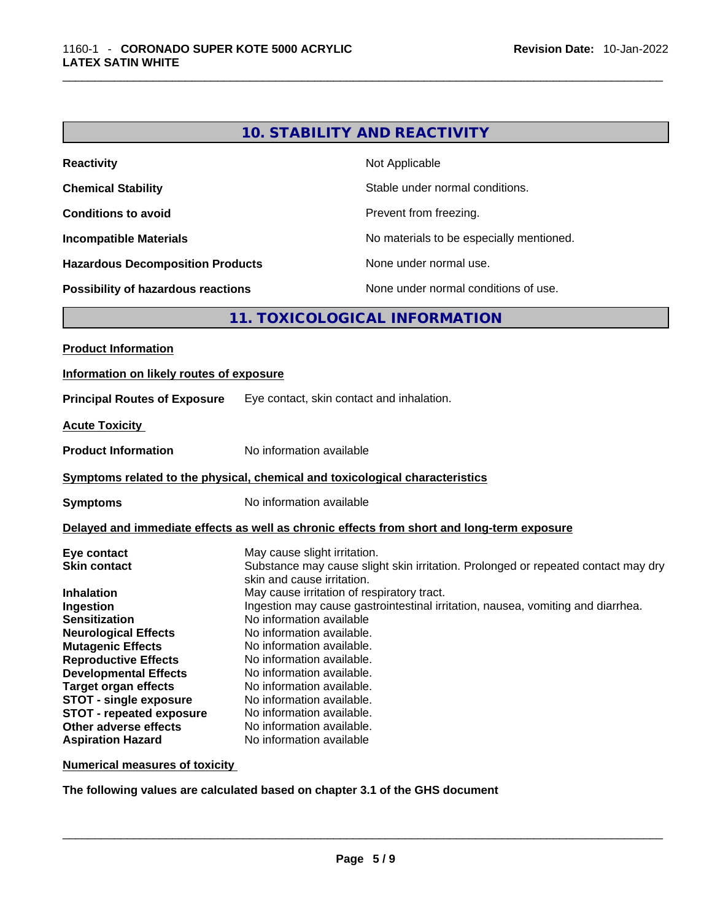| <b>Reactivity</b>                         | Not Applicable                           |
|-------------------------------------------|------------------------------------------|
| <b>Chemical Stability</b>                 | Stable under normal conditions.          |
| <b>Conditions to avoid</b>                | Prevent from freezing.                   |
| <b>Incompatible Materials</b>             | No materials to be especially mentioned. |
| <b>Hazardous Decomposition Products</b>   | None under normal use.                   |
| <b>Possibility of hazardous reactions</b> | None under normal conditions of use.     |

# **11. TOXICOLOGICAL INFORMATION**

| Information on likely routes of exposure                                                                                                                                                                                                                                                                                                                                                                                                                                                                                                                                                                                                                                                                                                                                                                                                                                                                                                                           |
|--------------------------------------------------------------------------------------------------------------------------------------------------------------------------------------------------------------------------------------------------------------------------------------------------------------------------------------------------------------------------------------------------------------------------------------------------------------------------------------------------------------------------------------------------------------------------------------------------------------------------------------------------------------------------------------------------------------------------------------------------------------------------------------------------------------------------------------------------------------------------------------------------------------------------------------------------------------------|
|                                                                                                                                                                                                                                                                                                                                                                                                                                                                                                                                                                                                                                                                                                                                                                                                                                                                                                                                                                    |
| <b>Principal Routes of Exposure</b><br>Eye contact, skin contact and inhalation.                                                                                                                                                                                                                                                                                                                                                                                                                                                                                                                                                                                                                                                                                                                                                                                                                                                                                   |
| <b>Acute Toxicity</b>                                                                                                                                                                                                                                                                                                                                                                                                                                                                                                                                                                                                                                                                                                                                                                                                                                                                                                                                              |
| No information available<br><b>Product Information</b>                                                                                                                                                                                                                                                                                                                                                                                                                                                                                                                                                                                                                                                                                                                                                                                                                                                                                                             |
| Symptoms related to the physical, chemical and toxicological characteristics                                                                                                                                                                                                                                                                                                                                                                                                                                                                                                                                                                                                                                                                                                                                                                                                                                                                                       |
| No information available<br><b>Symptoms</b>                                                                                                                                                                                                                                                                                                                                                                                                                                                                                                                                                                                                                                                                                                                                                                                                                                                                                                                        |
| Delayed and immediate effects as well as chronic effects from short and long-term exposure                                                                                                                                                                                                                                                                                                                                                                                                                                                                                                                                                                                                                                                                                                                                                                                                                                                                         |
| May cause slight irritation.<br>Eye contact<br>Substance may cause slight skin irritation. Prolonged or repeated contact may dry<br><b>Skin contact</b><br>skin and cause irritation.<br>May cause irritation of respiratory tract.<br><b>Inhalation</b><br>Ingestion may cause gastrointestinal irritation, nausea, vomiting and diarrhea.<br>Ingestion<br>No information available<br><b>Sensitization</b><br>No information available.<br><b>Neurological Effects</b><br>No information available.<br><b>Mutagenic Effects</b><br><b>Reproductive Effects</b><br>No information available.<br><b>Developmental Effects</b><br>No information available.<br>No information available.<br><b>Target organ effects</b><br><b>STOT - single exposure</b><br>No information available.<br><b>STOT - repeated exposure</b><br>No information available.<br>Other adverse effects<br>No information available.<br><b>Aspiration Hazard</b><br>No information available |

**Numerical measures of toxicity**

**The following values are calculated based on chapter 3.1 of the GHS document**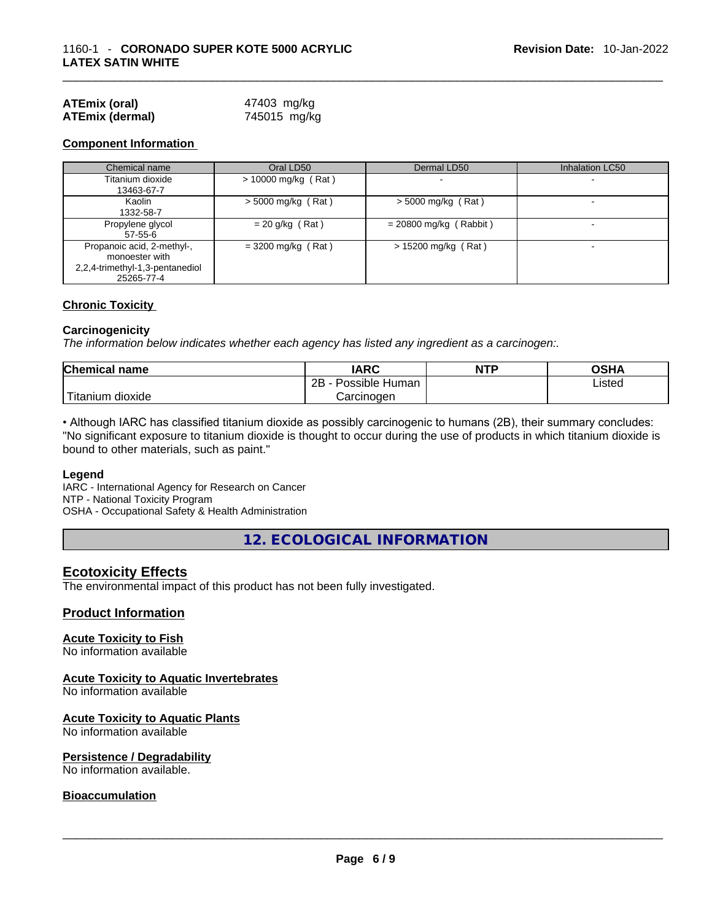| <b>ATEmix (oral)</b>   | 47403 mg/kg  |
|------------------------|--------------|
| <b>ATEmix (dermal)</b> | 745015 mg/kg |

#### **Component Information**

| Chemical name                   | Oral LD50             | Dermal LD50              | <b>Inhalation LC50</b>   |
|---------------------------------|-----------------------|--------------------------|--------------------------|
| Titanium dioxide                | $> 10000$ mg/kg (Rat) |                          | $\overline{\phantom{a}}$ |
| 13463-67-7                      |                       |                          |                          |
| Kaolin                          | $>$ 5000 mg/kg (Rat)  | $>$ 5000 mg/kg (Rat)     |                          |
| 1332-58-7                       |                       |                          |                          |
| Propylene glycol                | $= 20$ g/kg (Rat)     | $= 20800$ mg/kg (Rabbit) |                          |
| $57 - 55 - 6$                   |                       |                          |                          |
| Propanoic acid, 2-methyl-,      | $= 3200$ mg/kg (Rat)  | > 15200 mg/kg (Rat)      | $\overline{\phantom{a}}$ |
| monoester with                  |                       |                          |                          |
| 2,2,4-trimethyl-1,3-pentanediol |                       |                          |                          |
| 25265-77-4                      |                       |                          |                          |

#### **Chronic Toxicity**

#### **Carcinogenicity**

*The information below indicates whether each agency has listed any ingredient as a carcinogen:.* 

| <b>Chemical name</b> | IARC                 | <b>NTP</b> | OSHA   |
|----------------------|----------------------|------------|--------|
|                      | 2B<br>Possible Human |            | ∟isted |
| Titanium dioxide     | Carcinogen           |            |        |

• Although IARC has classified titanium dioxide as possibly carcinogenic to humans (2B), their summary concludes: "No significant exposure to titanium dioxide is thought to occur during the use of products in which titanium dioxide is bound to other materials, such as paint."

#### **Legend**

IARC - International Agency for Research on Cancer NTP - National Toxicity Program OSHA - Occupational Safety & Health Administration

**12. ECOLOGICAL INFORMATION** 

#### **Ecotoxicity Effects**

The environmental impact of this product has not been fully investigated.

#### **Product Information**

#### **Acute Toxicity to Fish**

No information available

#### **Acute Toxicity to Aquatic Invertebrates**

No information available

#### **Acute Toxicity to Aquatic Plants**

No information available

#### **Persistence / Degradability**

No information available. \_\_\_\_\_\_\_\_\_\_\_\_\_\_\_\_\_\_\_\_\_\_\_\_\_\_\_\_\_\_\_\_\_\_\_\_\_\_\_\_\_\_\_\_\_\_\_\_\_\_\_\_\_\_\_\_\_\_\_\_\_\_\_\_\_\_\_\_\_\_\_\_\_\_\_\_\_\_\_\_\_\_\_\_\_\_\_\_\_\_\_\_\_

#### **Bioaccumulation**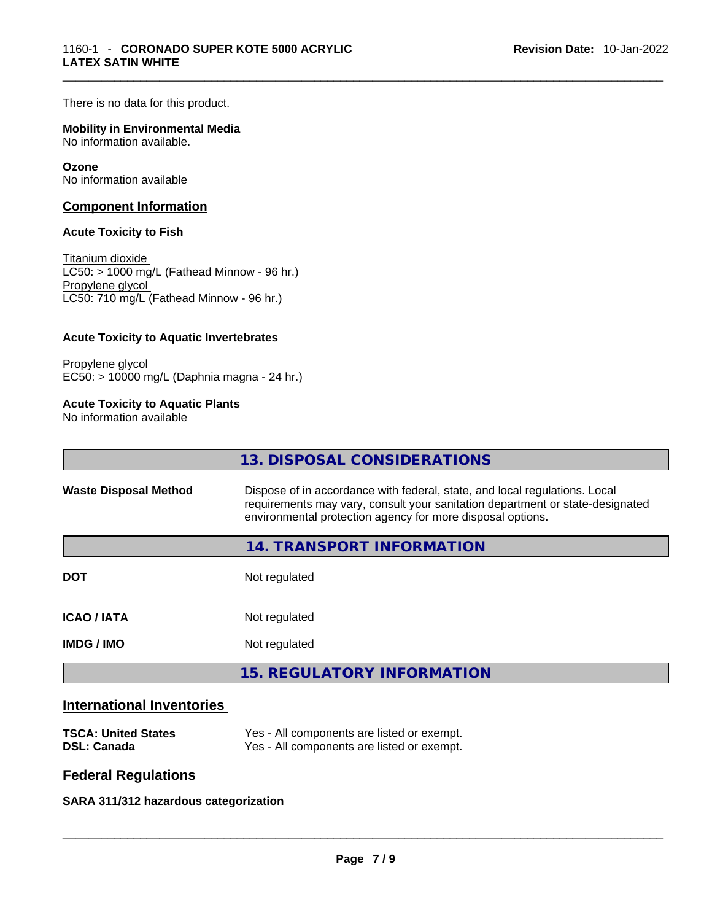There is no data for this product.

#### **Mobility in Environmental Media**

No information available.

#### **Ozone**

No information available

#### **Component Information**

#### **Acute Toxicity to Fish**

Titanium dioxide  $LCS0: > 1000$  mg/L (Fathead Minnow - 96 hr.) Propylene glycol LC50: 710 mg/L (Fathead Minnow - 96 hr.)

#### **Acute Toxicity to Aquatic Invertebrates**

Propylene glycol EC50: > 10000 mg/L (Daphnia magna - 24 hr.)

#### **Acute Toxicity to Aquatic Plants**

No information available

|                              | 13. DISPOSAL CONSIDERATIONS                                                                                                                                                                                               |
|------------------------------|---------------------------------------------------------------------------------------------------------------------------------------------------------------------------------------------------------------------------|
| <b>Waste Disposal Method</b> | Dispose of in accordance with federal, state, and local regulations. Local<br>requirements may vary, consult your sanitation department or state-designated<br>environmental protection agency for more disposal options. |
|                              | 14. TRANSPORT INFORMATION                                                                                                                                                                                                 |
| <b>DOT</b>                   | Not regulated                                                                                                                                                                                                             |
| <b>ICAO/IATA</b>             | Not regulated                                                                                                                                                                                                             |
| <b>IMDG/IMO</b>              | Not regulated                                                                                                                                                                                                             |
|                              | 15. REGULATORY INFORMATION                                                                                                                                                                                                |
|                              |                                                                                                                                                                                                                           |

# **International Inventories**

| <b>TSCA: United States</b> | Yes - All components are listed or exempt. |
|----------------------------|--------------------------------------------|
| <b>DSL: Canada</b>         | Yes - All components are listed or exempt. |

#### **Federal Regulations**

#### **SARA 311/312 hazardous categorization**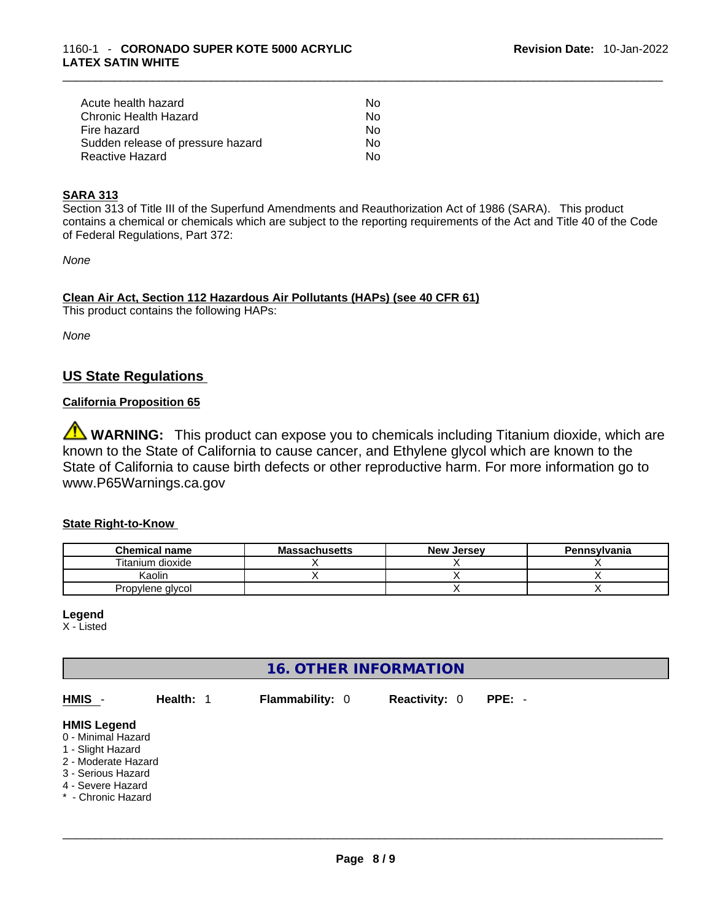| Acute health hazard               | Nο |
|-----------------------------------|----|
| Chronic Health Hazard             | Nο |
| Fire hazard                       | Nο |
| Sudden release of pressure hazard | No |
| Reactive Hazard                   | N٥ |

#### **SARA 313**

Section 313 of Title III of the Superfund Amendments and Reauthorization Act of 1986 (SARA). This product contains a chemical or chemicals which are subject to the reporting requirements of the Act and Title 40 of the Code of Federal Regulations, Part 372:

*None*

**Clean Air Act,Section 112 Hazardous Air Pollutants (HAPs) (see 40 CFR 61)** This product contains the following HAPs:

*None*

# **US State Regulations**

### **California Proposition 65**

WARNING: This product can expose you to chemicals including Titanium dioxide, which are known to the State of California to cause cancer, and Ethylene glycol which are known to the State of California to cause birth defects or other reproductive harm. For more information go to www.P65Warnings.ca.gov

#### **State Right-to-Know**

| <b>Chemical name</b> | <b>Massachusetts</b> | <b>New Jersey</b> | <b>Pennsylvania</b> |
|----------------------|----------------------|-------------------|---------------------|
| Titanium dioxide     |                      |                   |                     |
| Kaolin               |                      |                   |                     |
| Propylene glycol     |                      |                   |                     |

#### **Legend**

X - Listed

# **16. OTHER INFORMATION**

| HMIS -                                                                                                                                                | Health: 1 | <b>Flammability: 0</b> | <b>Reactivity: 0</b> | $PPE: -$ |
|-------------------------------------------------------------------------------------------------------------------------------------------------------|-----------|------------------------|----------------------|----------|
| <b>HMIS Legend</b><br>0 - Minimal Hazard<br>1 - Slight Hazard<br>2 - Moderate Hazard<br>3 - Serious Hazard<br>4 - Severe Hazard<br>* - Chronic Hazard |           |                        |                      |          |